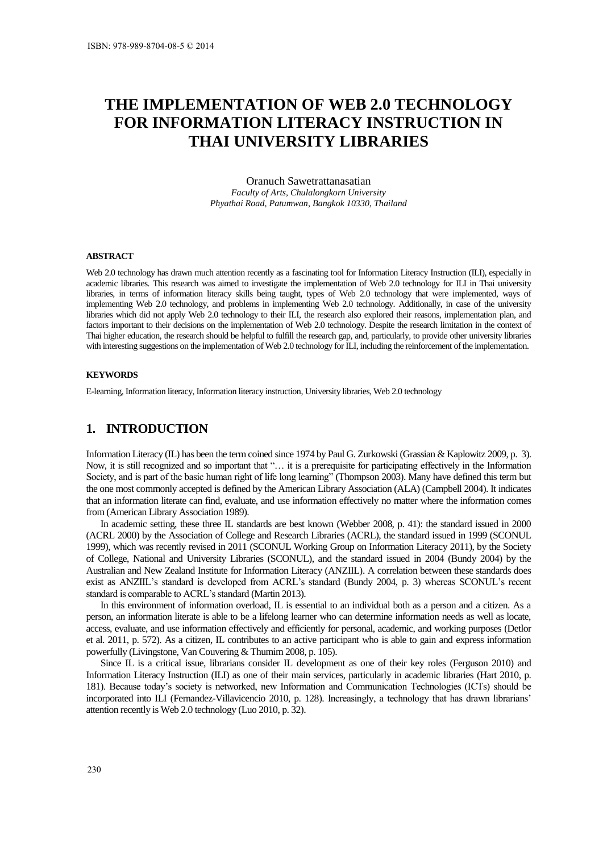# **THE IMPLEMENTATION OF WEB 2.0 TECHNOLOGY FOR INFORMATION LITERACY INSTRUCTION IN THAI UNIVERSITY LIBRARIES**

Oranuch Sawetrattanasatian *Faculty of Arts, Chulalongkorn University Phyathai Road, Patumwan, Bangkok 10330, Thailand* 

#### **ABSTRACT**

Web 2.0 technology has drawn much attention recently as a fascinating tool for Information Literacy Instruction (ILI), especially in academic libraries. This research was aimed to investigate the implementation of Web 2.0 technology for ILI in Thai university libraries, in terms of information literacy skills being taught, types of Web 2.0 technology that were implemented, ways of implementing Web 2.0 technology, and problems in implementing Web 2.0 technology. Additionally, in case of the university libraries which did not apply Web 2.0 technology to their ILI, the research also explored their reasons, implementation plan, and factors important to their decisions on the implementation of Web 2.0 technology. Despite the research limitation in the context of Thai higher education, the research should be helpful to fulfill the research gap, and, particularly, to provide other university libraries with interesting suggestions on the implementation of Web 2.0 technology for ILI, including the reinforcement of the implementation.

#### **KEYWORDS**

E-learning, Information literacy, Information literacy instruction, University libraries, Web 2.0 technology

### **1. INTRODUCTION**

Information Literacy (IL) has been the term coined since 1974 by Paul G. Zurkowski (Grassian & Kaplowitz 2009, p. 3). Now, it is still recognized and so important that "… it is a prerequisite for participating effectively in the Information Society, and is part of the basic human right of life long learning" (Thompson 2003). Many have defined this term but the one most commonly accepted is defined by the American Library Association (ALA) (Campbell 2004). It indicates that an information literate can find, evaluate, and use information effectively no matter where the information comes from (American Library Association 1989).

In academic setting, these three IL standards are best known (Webber 2008, p. 41): the standard issued in 2000 (ACRL 2000) by the Association of College and Research Libraries (ACRL), the standard issued in 1999 (SCONUL 1999), which was recently revised in 2011 (SCONUL Working Group on Information Literacy 2011), by the Society of College, National and University Libraries (SCONUL), and the standard issued in 2004 (Bundy 2004) by the Australian and New Zealand Institute for Information Literacy (ANZIIL). A correlation between these standards does exist as ANZIIL's standard is developed from ACRL's standard (Bundy 2004, p. 3) whereas SCONUL's recent standard is comparable to ACRL's standard (Martin 2013).

In this environment of information overload, IL is essential to an individual both as a person and a citizen. As a person, an information literate is able to be a lifelong learner who can determine information needs as well as locate, access, evaluate, and use information effectively and efficiently for personal, academic, and working purposes (Detlor et al. 2011, p. 572). As a citizen, IL contributes to an active participant who is able to gain and express information powerfully (Livingstone, Van Couvering & Thumim 2008, p. 105).

Since IL is a critical issue, librarians consider IL development as one of their key roles (Ferguson 2010) and Information Literacy Instruction (ILI) as one of their main services, particularly in academic libraries (Hart 2010, p. 181). Because today's society is networked, new Information and Communication Technologies (ICTs) should be incorporated into ILI (Fernandez-Villavicencio 2010, p. 128). Increasingly, a technology that has drawn librarians' attention recently is Web 2.0 technology (Luo 2010, p. 32).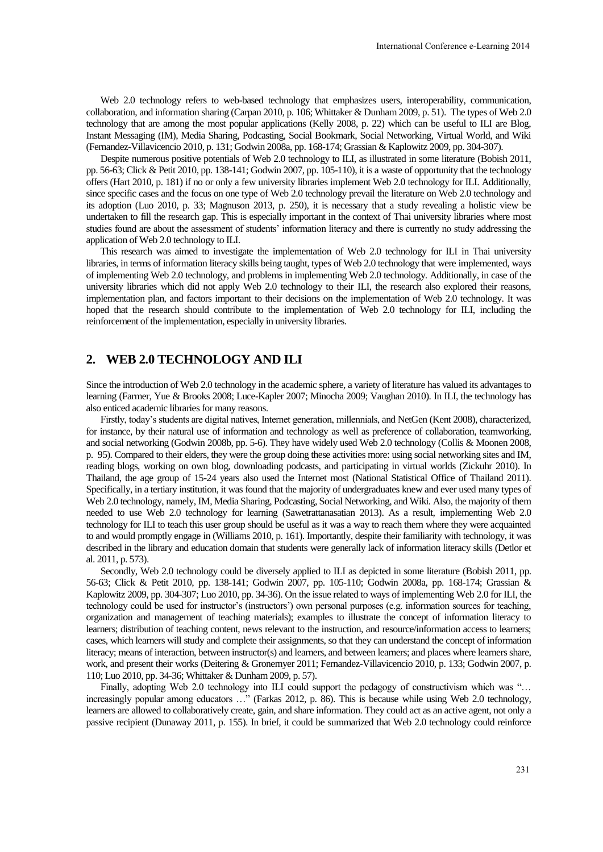Web 2.0 technology refers to web-based technology that emphasizes users, interoperability, communication, collaboration, and information sharing (Carpan 2010, p. 106; Whittaker & Dunham 2009, p. 51). The types of Web 2.0 technology that are among the most popular applications (Kelly 2008, p. 22) which can be useful to ILI are Blog, Instant Messaging (IM), Media Sharing, Podcasting, Social Bookmark, Social Networking, Virtual World, and Wiki (Fernandez-Villavicencio 2010, p. 131; Godwin 2008a, pp. 168-174; Grassian & Kaplowitz 2009, pp. 304-307).

Despite numerous positive potentials of Web 2.0 technology to ILI, as illustrated in some literature (Bobish 2011, pp. 56-63; Click & Petit 2010, pp. 138-141; Godwin 2007, pp. 105-110), it is a waste of opportunity that the technology offers (Hart 2010, p. 181) if no or only a few university libraries implement Web 2.0 technology for ILI. Additionally, since specific cases and the focus on one type of Web 2.0 technology prevail the literature on Web 2.0 technology and its adoption (Luo 2010, p. 33; Magnuson 2013, p. 250), it is necessary that a study revealing a holistic view be undertaken to fill the research gap. This is especially important in the context of Thai university libraries where most studies found are about the assessment of students' information literacy and there is currently no study addressing the application of Web 2.0 technology to ILI.

This research was aimed to investigate the implementation of Web 2.0 technology for ILI in Thai university libraries, in terms of information literacy skills being taught, types of Web 2.0 technology that were implemented, ways of implementing Web 2.0 technology, and problems in implementing Web 2.0 technology. Additionally, in case of the university libraries which did not apply Web 2.0 technology to their ILI, the research also explored their reasons, implementation plan, and factors important to their decisions on the implementation of Web 2.0 technology. It was hoped that the research should contribute to the implementation of Web 2.0 technology for ILI, including the reinforcement of the implementation, especially in university libraries.

### **2. WEB 2.0 TECHNOLOGY AND ILI**

Since the introduction of Web 2.0 technology in the academic sphere, a variety of literature has valued its advantages to learning (Farmer, Yue & Brooks 2008; Luce-Kapler 2007; Minocha 2009; Vaughan 2010). In ILI, the technology has also enticed academic libraries for many reasons.

Firstly, today's students are digital natives, Internet generation, millennials, and NetGen (Kent 2008), characterized, for instance, by their natural use of information and technology as well as preference of collaboration, teamworking, and social networking (Godwin 2008b, pp. 5-6). They have widely used Web 2.0 technology (Collis & Moonen 2008, p. 95). Compared to their elders, they were the group doing these activities more: using social networking sites and IM, reading blogs, working on own blog, downloading podcasts, and participating in virtual worlds (Zickuhr 2010). In Thailand, the age group of 15-24 years also used the Internet most (National Statistical Office of Thailand 2011). Specifically, in a tertiary institution, it was found that the majority of undergraduates knew and ever used many types of Web 2.0 technology, namely, IM, Media Sharing, Podcasting, Social Networking, and Wiki. Also, the majority of them needed to use Web 2.0 technology for learning (Sawetrattanasatian 2013). As a result, implementing Web 2.0 technology for ILI to teach this user group should be useful as it was a way to reach them where they were acquainted to and would promptly engage in (Williams 2010, p. 161). Importantly, despite their familiarity with technology, it was described in the library and education domain that students were generally lack of information literacy skills (Detlor et al. 2011, p. 573).

Secondly, Web 2.0 technology could be diversely applied to ILI as depicted in some literature (Bobish 2011, pp. 56-63; Click & Petit 2010, pp. 138-141; Godwin 2007, pp. 105-110; Godwin 2008a, pp. 168-174; Grassian & Kaplowitz 2009, pp. 304-307; Luo 2010, pp. 34-36). On the issue related to ways of implementing Web 2.0 for ILI, the technology could be used for instructor's (instructors') own personal purposes (e.g. information sources for teaching, organization and management of teaching materials); examples to illustrate the concept of information literacy to learners; distribution of teaching content, news relevant to the instruction, and resource/information access to learners; cases, which learners will study and complete their assignments, so that they can understand the concept of information literacy; means of interaction, between instructor(s) and learners, and between learners; and places where learners share, work, and present their works (Deitering & Gronemyer 2011; Fernandez-Villavicencio 2010, p. 133; Godwin 2007, p. 110; Luo 2010, pp. 34-36; Whittaker & Dunham 2009, p. 57).

Finally, adopting Web 2.0 technology into ILI could support the pedagogy of constructivism which was "... increasingly popular among educators …" (Farkas 2012, p. 86). This is because while using Web 2.0 technology, learners are allowed to collaboratively create, gain, and share information. They could act as an active agent, not only a passive recipient (Dunaway 2011, p. 155). In brief, it could be summarized that Web 2.0 technology could reinforce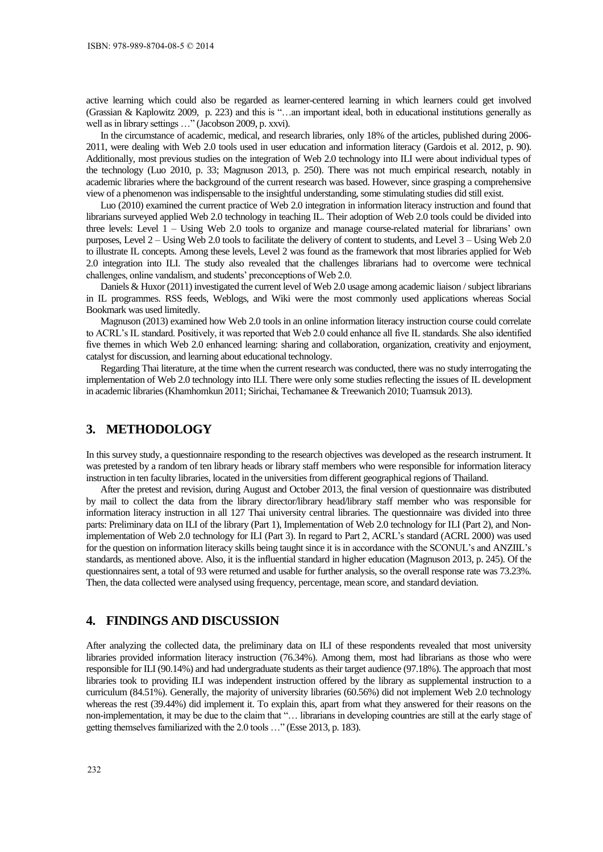active learning which could also be regarded as learner-centered learning in which learners could get involved (Grassian & Kaplowitz 2009, p. 223) and this is "…an important ideal, both in educational institutions generally as well as in library settings …" (Jacobson 2009, p. xxvi).

In the circumstance of academic, medical, and research libraries, only 18% of the articles, published during 2006- 2011, were dealing with Web 2.0 tools used in user education and information literacy (Gardois et al. 2012, p. 90). Additionally, most previous studies on the integration of Web 2.0 technology into ILI were about individual types of the technology (Luo 2010, p. 33; Magnuson 2013, p. 250). There was not much empirical research, notably in academic libraries where the background of the current research was based. However, since grasping a comprehensive view of a phenomenon was indispensable to the insightful understanding, some stimulating studies did still exist.

Luo (2010) examined the current practice of Web 2.0 integration in information literacy instruction and found that librarians surveyed applied Web 2.0 technology in teaching IL. Their adoption of Web 2.0 tools could be divided into three levels: Level 1 – Using Web 2.0 tools to organize and manage course-related material for librarians' own purposes, Level 2 – Using Web 2.0 tools to facilitate the delivery of content to students, and Level 3 – Using Web 2.0 to illustrate IL concepts. Among these levels, Level 2 was found as the framework that most libraries applied for Web 2.0 integration into ILI. The study also revealed that the challenges librarians had to overcome were technical challenges, online vandalism, and students' preconceptions of Web 2.0.

Daniels & Huxor (2011) investigated the current level of Web 2.0 usage among academic liaison / subject librarians in IL programmes. RSS feeds, Weblogs, and Wiki were the most commonly used applications whereas Social Bookmark was used limitedly.

Magnuson (2013) examined how Web 2.0 tools in an online information literacy instruction course could correlate to ACRL's IL standard. Positively, it was reported that Web 2.0 could enhance all five IL standards. She also identified five themes in which Web 2.0 enhanced learning: sharing and collaboration, organization, creativity and enjoyment, catalyst for discussion, and learning about educational technology.

Regarding Thai literature, at the time when the current research was conducted, there was no study interrogating the implementation of Web 2.0 technology into ILI. There were only some studies reflecting the issues of IL development in academic libraries (Khamhomkun 2011; Sirichai, Techamanee & Treewanich 2010; Tuamsuk 2013).

# **3. METHODOLOGY**

In this survey study, a questionnaire responding to the research objectives was developed as the research instrument. It was pretested by a random of ten library heads or library staff members who were responsible for information literacy instruction in ten faculty libraries, located in the universities from different geographical regions of Thailand.

After the pretest and revision, during August and October 2013, the final version of questionnaire was distributed by mail to collect the data from the library director/library head/library staff member who was responsible for information literacy instruction in all 127 Thai university central libraries. The questionnaire was divided into three parts: Preliminary data on ILI of the library (Part 1), Implementation of Web 2.0 technology for ILI (Part 2), and Nonimplementation of Web 2.0 technology for ILI (Part 3). In regard to Part 2, ACRL's standard (ACRL 2000) was used for the question on information literacy skills being taught since it is in accordance with the SCONUL's and ANZIIL's standards, as mentioned above. Also, it is the influential standard in higher education (Magnuson 2013, p. 245). Of the questionnaires sent, a total of 93 were returned and usable for further analysis, so the overall response rate was 73.23%. Then, the data collected were analysed using frequency, percentage, mean score, and standard deviation.

# **4. FINDINGS AND DISCUSSION**

After analyzing the collected data, the preliminary data on ILI of these respondents revealed that most university libraries provided information literacy instruction (76.34%). Among them, most had librarians as those who were responsible for ILI (90.14%) and had undergraduate students as their target audience (97.18%). The approach that most libraries took to providing ILI was independent instruction offered by the library as supplemental instruction to a curriculum (84.51%). Generally, the majority of university libraries (60.56%) did not implement Web 2.0 technology whereas the rest (39.44%) did implement it. To explain this, apart from what they answered for their reasons on the non-implementation, it may be due to the claim that "… librarians in developing countries are still at the early stage of getting themselves familiarized with the 2.0 tools …" (Esse 2013, p. 183).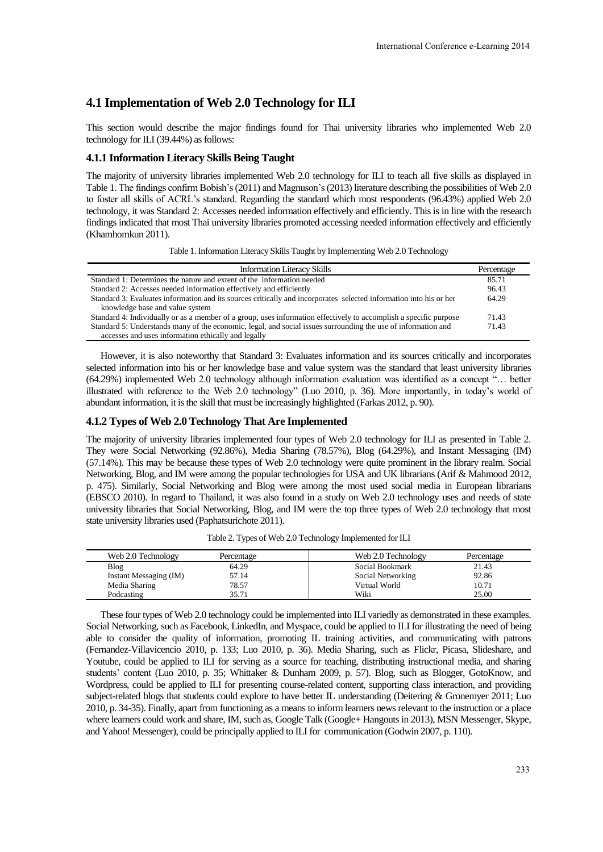## **4.1 Implementation of Web 2.0 Technology for ILI**

This section would describe the major findings found for Thai university libraries who implemented Web 2.0 technology for ILI (39.44%) as follows:

#### **4.1.1 Information Literacy Skills Being Taught**

The majority of university libraries implemented Web 2.0 technology for ILI to teach all five skills as displayed in Table 1. The findings confirm Bobish's (2011) and Magnuson's (2013) literature describing the possibilities of Web 2.0 to foster all skills of ACRL's standard. Regarding the standard which most respondents (96.43%) applied Web 2.0 technology, it was Standard 2: Accesses needed information effectively and efficiently. This is in line with the research findings indicated that most Thai university libraries promoted accessing needed information effectively and efficiently (Khamhomkun 2011).

Table 1. Information Literacy Skills Taught by Implementing Web 2.0 Technology

| <b>Information Literacy Skills</b>                                                                                 | Percentage |
|--------------------------------------------------------------------------------------------------------------------|------------|
| Standard 1: Determines the nature and extent of the information needed                                             | 85.71      |
| Standard 2: Accesses needed information effectively and efficiently                                                | 96.43      |
| Standard 3: Evaluates information and its sources critically and incorporates selected information into his or her | 64.29      |
| knowledge base and value system                                                                                    |            |
| Standard 4: Individually or as a member of a group, uses information effectively to accomplish a specific purpose  | 71.43      |
| Standard 5: Understands many of the economic, legal, and social issues surrounding the use of information and      | 71.43      |
| accesses and uses information ethically and legally                                                                |            |

However, it is also noteworthy that Standard 3: Evaluates information and its sources critically and incorporates selected information into his or her knowledge base and value system was the standard that least university libraries (64.29%) implemented Web 2.0 technology although information evaluation was identified as a concept "… better illustrated with reference to the Web 2.0 technology" (Luo 2010, p. 36). More importantly, in today's world of abundant information, it is the skill that must be increasingly highlighted (Farkas 2012, p. 90).

#### **4.1.2 Types of Web 2.0 Technology That Are Implemented**

The majority of university libraries implemented four types of Web 2.0 technology for ILI as presented in Table 2. They were Social Networking (92.86%), Media Sharing (78.57%), Blog (64.29%), and Instant Messaging (IM) (57.14%). This may be because these types of Web 2.0 technology were quite prominent in the library realm. Social Networking, Blog, and IM were among the popular technologies for USA and UK librarians (Arif & Mahmood 2012, p. 475). Similarly, Social Networking and Blog were among the most used social media in European librarians (EBSCO 2010). In regard to Thailand, it was also found in a study on Web 2.0 technology uses and needs of state university libraries that Social Networking, Blog, and IM were the top three types of Web 2.0 technology that most state university libraries used (Paphatsurichote 2011).

| Web 2.0 Technology     | Percentage | Web 2.0 Technology | Percentage |  |
|------------------------|------------|--------------------|------------|--|
| Blog                   | 64.29      | Social Bookmark    | 21.43      |  |
| Instant Messaging (IM) | 57.14      | Social Networking  | 92.86      |  |
| Media Sharing          | 78.57      | Virtual World      | 10.71      |  |
| Podcasting             | 35.71      | Wiki               | 25.00      |  |

Table 2. Types of Web 2.0 Technology Implemented for ILI

These four types of Web 2.0 technology could be implemented into ILI variedly as demonstrated in these examples. Social Networking, such as Facebook, LinkedIn, and Myspace, could be applied to ILI for illustrating the need of being able to consider the quality of information, promoting IL training activities, and communicating with patrons (Fernandez-Villavicencio 2010, p. 133; Luo 2010, p. 36). Media Sharing, such as Flickr, Picasa, Slideshare, and Youtube, could be applied to ILI for serving as a source for teaching, distributing instructional media, and sharing students' content (Luo 2010, p. 35; Whittaker & Dunham 2009, p. 57). Blog, such as Blogger, GotoKnow, and Wordpress, could be applied to ILI for presenting course-related content, supporting class interaction, and providing subject-related blogs that students could explore to have better IL understanding (Deitering & Gronemyer 2011; Luo 2010, p. 34-35). Finally, apart from functioning as a means to inform learners news relevant to the instruction or a place where learners could work and share, IM, such as, Google Talk (Google+ Hangouts in 2013), MSN Messenger, Skype, and Yahoo! Messenger), could be principally applied to ILI for communication (Godwin 2007, p. 110).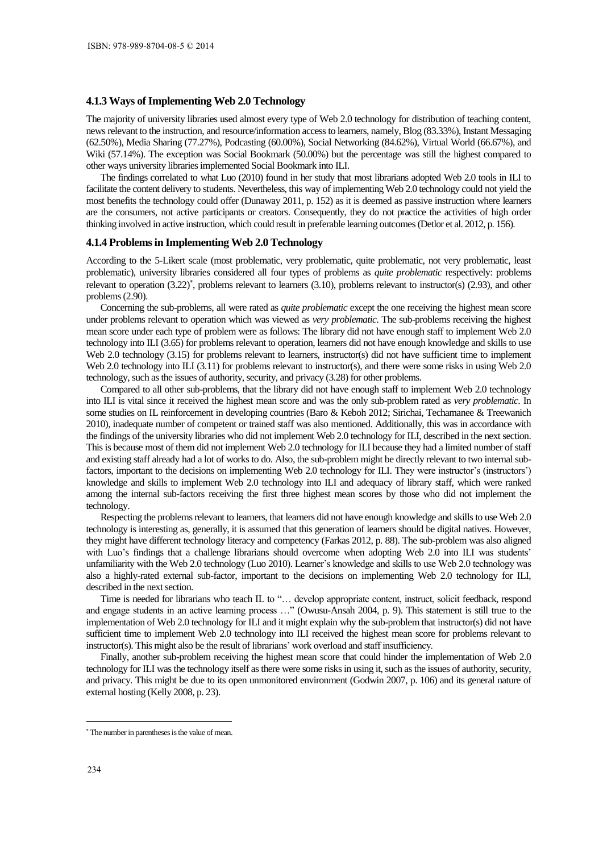#### **4.1.3 Ways of Implementing Web 2.0 Technology**

The majority of university libraries used almost every type of Web 2.0 technology for distribution of teaching content, news relevant to the instruction, and resource/information access to learners, namely, Blog (83.33%), Instant Messaging (62.50%), Media Sharing (77.27%), Podcasting (60.00%), Social Networking (84.62%), Virtual World (66.67%), and Wiki (57.14%). The exception was Social Bookmark (50.00%) but the percentage was still the highest compared to other ways university libraries implemented Social Bookmark into ILI.

The findings correlated to what Luo (2010) found in her study that most librarians adopted Web 2.0 tools in ILI to facilitate the content delivery to students. Nevertheless, this way of implementing Web 2.0 technology could not yield the most benefits the technology could offer (Dunaway 2011, p. 152) as it is deemed as passive instruction where learners are the consumers, not active participants or creators. Consequently, they do not practice the activities of high order thinking involved in active instruction, which could result in preferable learning outcomes (Detlor et al. 2012, p. 156).

#### **4.1.4 Problems in Implementing Web 2.0 Technology**

According to the 5-Likert scale (most problematic, very problematic, quite problematic, not very problematic, least problematic), university libraries considered all four types of problems as *quite problematic* respectively: problems relevant to operation (3.22)<sup>\*</sup>, problems relevant to learners (3.10), problems relevant to instructor(s) (2.93), and other problems (2.90).

Concerning the sub-problems, all were rated as *quite problematic* except the one receiving the highest mean score under problems relevant to operation which was viewed as *very problematic*. The sub-problems receiving the highest mean score under each type of problem were as follows: The library did not have enough staff to implement Web 2.0 technology into ILI (3.65) for problems relevant to operation, learners did not have enough knowledge and skills to use Web 2.0 technology (3.15) for problems relevant to learners, instructor(s) did not have sufficient time to implement Web 2.0 technology into ILI (3.11) for problems relevant to instructor(s), and there were some risks in using Web 2.0 technology, such as the issues of authority, security, and privacy (3.28) for other problems.

Compared to all other sub-problems, that the library did not have enough staff to implement Web 2.0 technology into ILI is vital since it received the highest mean score and was the only sub-problem rated as *very problematic*. In some studies on IL reinforcement in developing countries (Baro & Keboh 2012; Sirichai, Techamanee & Treewanich 2010), inadequate number of competent or trained staff was also mentioned. Additionally, this was in accordance with the findings of the university libraries who did not implement Web 2.0 technology for ILI, described in the next section. This is because most of them did not implement Web 2.0 technology for ILI because they had a limited number of staff and existing staff already had a lot of works to do. Also, the sub-problem might be directly relevant to two internal subfactors, important to the decisions on implementing Web 2.0 technology for ILI. They were instructor's (instructors') knowledge and skills to implement Web 2.0 technology into ILI and adequacy of library staff, which were ranked among the internal sub-factors receiving the first three highest mean scores by those who did not implement the technology.

Respecting the problems relevant to learners, that learners did not have enough knowledge and skills to use Web 2.0 technology is interesting as, generally, it is assumed that this generation of learners should be digital natives. However, they might have different technology literacy and competency (Farkas 2012, p. 88). The sub-problem was also aligned with Luo's findings that a challenge librarians should overcome when adopting Web 2.0 into ILI was students' unfamiliarity with the Web 2.0 technology (Luo 2010). Learner's knowledge and skills to use Web 2.0 technology was also a highly-rated external sub-factor, important to the decisions on implementing Web 2.0 technology for ILI, described in the next section.

Time is needed for librarians who teach IL to "… develop appropriate content, instruct, solicit feedback, respond and engage students in an active learning process …" (Owusu-Ansah 2004, p. 9). This statement is still true to the implementation of Web 2.0 technology for ILI and it might explain why the sub-problem that instructor(s) did not have sufficient time to implement Web 2.0 technology into ILI received the highest mean score for problems relevant to instructor(s). This might also be the result of librarians' work overload and staff insufficiency.

Finally, another sub-problem receiving the highest mean score that could hinder the implementation of Web 2.0 technology for ILI was the technology itself as there were some risks in using it, such as the issues of authority, security, and privacy. This might be due to its open unmonitored environment (Godwin 2007, p. 106) and its general nature of external hosting (Kelly 2008, p. 23).

<u>.</u>

 The number in parentheses is the value of mean.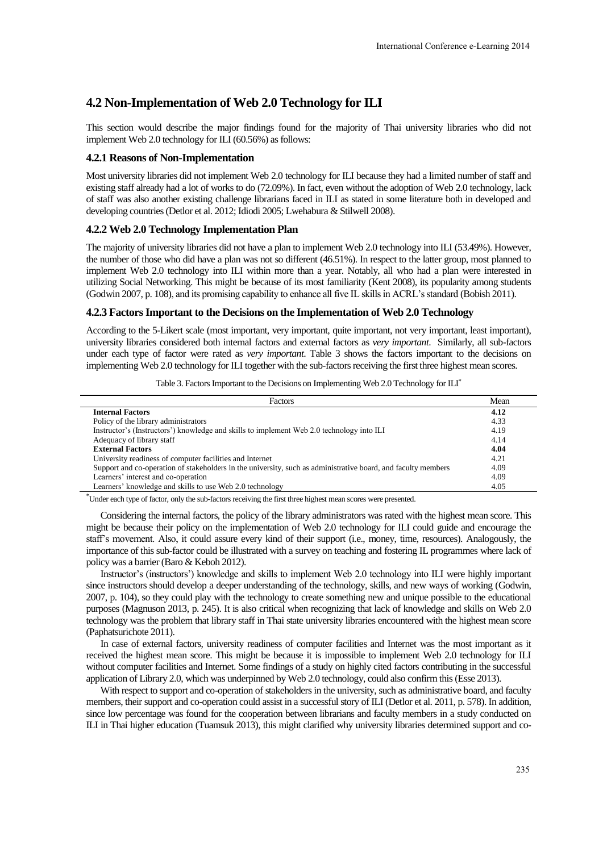# **4.2 Non-Implementation of Web 2.0 Technology for ILI**

This section would describe the major findings found for the majority of Thai university libraries who did not implement Web 2.0 technology for ILI (60.56%) as follows:

#### **4.2.1 Reasons of Non-Implementation**

Most university libraries did not implement Web 2.0 technology for ILI because they had a limited number of staff and existing staff already had a lot of works to do (72.09%). In fact, even without the adoption of Web 2.0 technology, lack of staff was also another existing challenge librarians faced in ILI as stated in some literature both in developed and developing countries (Detlor et al. 2012; Idiodi 2005; Lwehabura & Stilwell 2008).

#### **4.2.2 Web 2.0 Technology Implementation Plan**

The majority of university libraries did not have a plan to implement Web 2.0 technology into ILI (53.49%). However, the number of those who did have a plan was not so different (46.51%). In respect to the latter group, most planned to implement Web 2.0 technology into ILI within more than a year. Notably, all who had a plan were interested in utilizing Social Networking. This might be because of its most familiarity (Kent 2008), its popularity among students (Godwin 2007, p. 108), and its promising capability to enhance all five IL skills in ACRL's standard (Bobish 2011).

#### **4.2.3 Factors Important to the Decisions on the Implementation of Web 2.0 Technology**

According to the 5-Likert scale (most important, very important, quite important, not very important, least important), university libraries considered both internal factors and external factors as *very important*. Similarly, all sub-factors under each type of factor were rated as *very important*. Table 3 shows the factors important to the decisions on implementing Web 2.0 technology for ILI together with the sub-factors receiving the first three highest mean scores.

| Table 3. Factors Important to the Decisions on Implementing Web 2.0 Technology for ILI* |  |  |  |
|-----------------------------------------------------------------------------------------|--|--|--|
|                                                                                         |  |  |  |

| Factors                                                                                                       | Mean |
|---------------------------------------------------------------------------------------------------------------|------|
| <b>Internal Factors</b>                                                                                       | 4.12 |
| Policy of the library administrators                                                                          | 4.33 |
| Instructor's (Instructors') knowledge and skills to implement Web 2.0 technology into ILI                     | 4.19 |
| Adequacy of library staff                                                                                     | 4.14 |
| <b>External Factors</b>                                                                                       | 4.04 |
| University readiness of computer facilities and Internet                                                      | 4.21 |
| Support and co-operation of stakeholders in the university, such as administrative board, and faculty members | 4.09 |
| Learners' interest and co-operation                                                                           | 4.09 |
| Learners' knowledge and skills to use Web 2.0 technology                                                      | 4.05 |

Under each type of factor, only the sub-factors receiving the first three highest mean scores were presented.

Considering the internal factors, the policy of the library administrators was rated with the highest mean score. This might be because their policy on the implementation of Web 2.0 technology for ILI could guide and encourage the staff's movement. Also, it could assure every kind of their support (i.e., money, time, resources). Analogously, the importance of this sub-factor could be illustrated with a survey on teaching and fostering IL programmes where lack of policy was a barrier (Baro & Keboh 2012).

Instructor's (instructors') knowledge and skills to implement Web 2.0 technology into ILI were highly important since instructors should develop a deeper understanding of the technology, skills, and new ways of working (Godwin, 2007, p. 104), so they could play with the technology to create something new and unique possible to the educational purposes (Magnuson 2013, p. 245). It is also critical when recognizing that lack of knowledge and skills on Web 2.0 technology was the problem that library staff in Thai state university libraries encountered with the highest mean score (Paphatsurichote 2011).

In case of external factors, university readiness of computer facilities and Internet was the most important as it received the highest mean score. This might be because it is impossible to implement Web 2.0 technology for ILI without computer facilities and Internet. Some findings of a study on highly cited factors contributing in the successful application of Library 2.0, which was underpinned by Web 2.0 technology, could also confirm this (Esse 2013).

With respect to support and co-operation of stakeholders in the university, such as administrative board, and faculty members, their support and co-operation could assist in a successful story of ILI (Detlor et al. 2011, p. 578). In addition, since low percentage was found for the cooperation between librarians and faculty members in a study conducted on ILI in Thai higher education (Tuamsuk 2013), this might clarified why university libraries determined support and co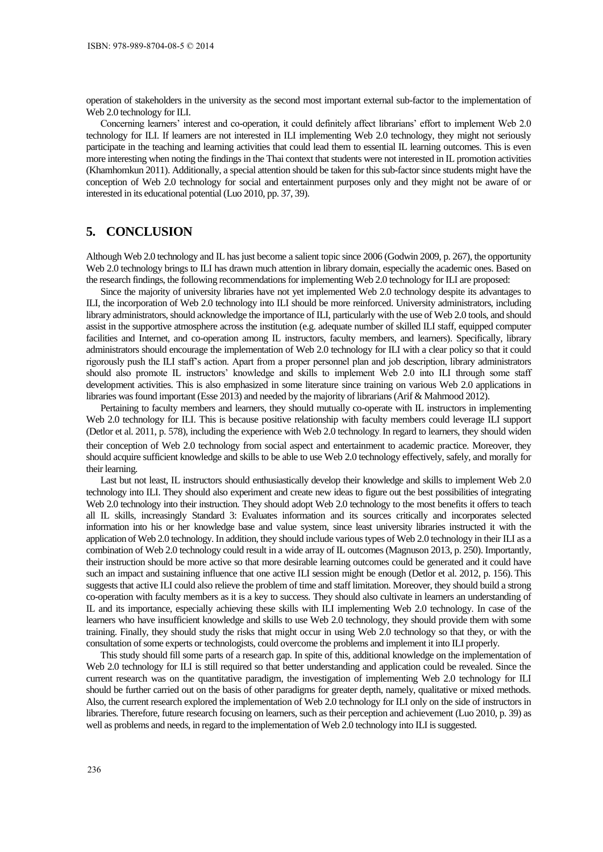operation of stakeholders in the university as the second most important external sub-factor to the implementation of Web 2.0 technology for ILI.

Concerning learners' interest and co-operation, it could definitely affect librarians' effort to implement Web 2.0 technology for ILI. If learners are not interested in ILI implementing Web 2.0 technology, they might not seriously participate in the teaching and learning activities that could lead them to essential IL learning outcomes. This is even more interesting when noting the findings in the Thai context that students were not interested in IL promotion activities (Khamhomkun 2011). Additionally, a special attention should be taken for this sub-factor since students might have the conception of Web 2.0 technology for social and entertainment purposes only and they might not be aware of or interested in its educational potential (Luo 2010, pp. 37, 39).

# **5. CONCLUSION**

Although Web 2.0 technology and IL has just become a salient topic since 2006 (Godwin 2009, p. 267), the opportunity Web 2.0 technology brings to ILI has drawn much attention in library domain, especially the academic ones. Based on the research findings, the following recommendations for implementing Web 2.0 technology for ILI are proposed:

Since the majority of university libraries have not yet implemented Web 2.0 technology despite its advantages to ILI, the incorporation of Web 2.0 technology into ILI should be more reinforced. University administrators, including library administrators, should acknowledge the importance of ILI, particularly with the use of Web 2.0 tools, and should assist in the supportive atmosphere across the institution (e.g. adequate number of skilled ILI staff, equipped computer facilities and Internet, and co-operation among IL instructors, faculty members, and learners). Specifically, library administrators should encourage the implementation of Web 2.0 technology for ILI with a clear policy so that it could rigorously push the ILI staff's action. Apart from a proper personnel plan and job description, library administrators should also promote IL instructors' knowledge and skills to implement Web 2.0 into ILI through some staff development activities. This is also emphasized in some literature since training on various Web 2.0 applications in libraries was found important (Esse 2013) and needed by the majority of librarians (Arif & Mahmood 2012).

Pertaining to faculty members and learners, they should mutually co-operate with IL instructors in implementing Web 2.0 technology for ILI. This is because positive relationship with faculty members could leverage ILI support (Detlor et al. 2011, p. 578), including the experience with Web 2.0 technology. In regard to learners, they should widen their conception of Web 2.0 technology from social aspect and entertainment to academic practice. Moreover, they should acquire sufficient knowledge and skills to be able to use Web 2.0 technology effectively, safely, and morally for their learning.

Last but not least, IL instructors should enthusiastically develop their knowledge and skills to implement Web 2.0 technology into ILI. They should also experiment and create new ideas to figure out the best possibilities of integrating Web 2.0 technology into their instruction. They should adopt Web 2.0 technology to the most benefits it offers to teach all IL skills, increasingly Standard 3: Evaluates information and its sources critically and incorporates selected information into his or her knowledge base and value system, since least university libraries instructed it with the application of Web 2.0 technology. In addition, they should include various types of Web 2.0 technology in their ILI as a combination of Web 2.0 technology could result in a wide array of IL outcomes (Magnuson 2013, p. 250). Importantly, their instruction should be more active so that more desirable learning outcomes could be generated and it could have such an impact and sustaining influence that one active ILI session might be enough (Detlor et al. 2012, p. 156). This suggests that active ILI could also relieve the problem of time and staff limitation. Moreover, they should build a strong co-operation with faculty members as it is a key to success. They should also cultivate in learners an understanding of IL and its importance, especially achieving these skills with ILI implementing Web 2.0 technology. In case of the learners who have insufficient knowledge and skills to use Web 2.0 technology, they should provide them with some training. Finally, they should study the risks that might occur in using Web 2.0 technology so that they, or with the consultation of some experts or technologists, could overcome the problems and implement it into ILI properly.

This study should fill some parts of a research gap. In spite of this, additional knowledge on the implementation of Web 2.0 technology for ILI is still required so that better understanding and application could be revealed. Since the current research was on the quantitative paradigm, the investigation of implementing Web 2.0 technology for ILI should be further carried out on the basis of other paradigms for greater depth, namely, qualitative or mixed methods. Also, the current research explored the implementation of Web 2.0 technology for ILI only on the side of instructors in libraries. Therefore, future research focusing on learners, such as their perception and achievement (Luo 2010, p. 39) as well as problems and needs, in regard to the implementation of Web 2.0 technology into ILI is suggested.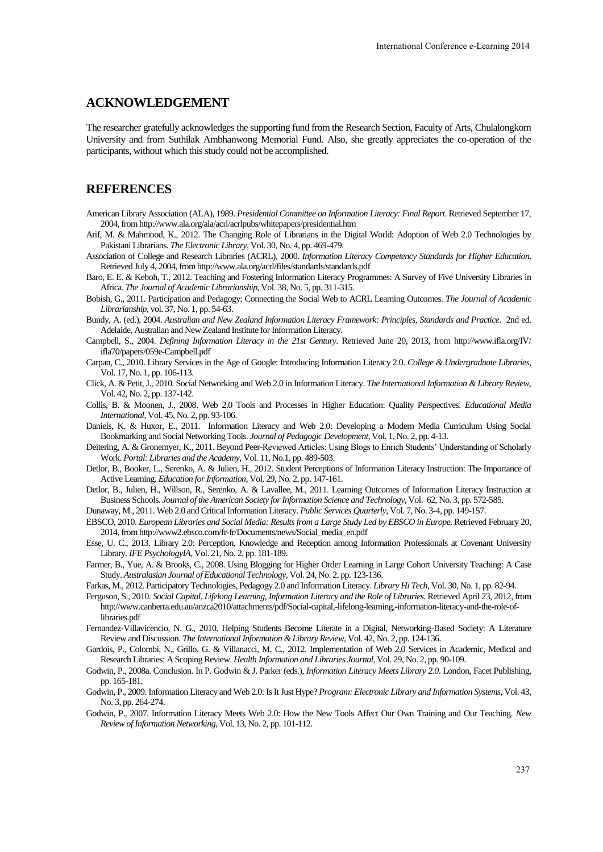### **ACKNOWLEDGEMENT**

The researcher gratefully acknowledges the supporting fund from the Research Section, Faculty of Arts, Chulalongkorn University and from Suthilak Ambhanwong Memorial Fund. Also, she greatly appreciates the co-operation of the participants, without which this study could not be accomplished.

### **REFERENCES**

- American Library Association (ALA), 1989. *Presidential Committee on Information Literacy: Final Report*. Retrieved September 17, 2004, from http://www.ala.org/ala/acrl/acrlpubs/whitepapers/presidential.htm
- Arif, M. & Mahmood, K., 2012. The Changing Role of Librarians in the Digital World: Adoption of Web 2.0 Technologies by Pakistani Librarians. *The Electronic Library*, Vol. 30, No. 4, pp. 469-479.
- Association of College and Research Libraries (ACRL), 2000. *Information Literacy Competency Standards for Higher Education*. Retrieved July 4, 2004, from http://www.ala.org/acrl/files/standards/standards.pdf

Baro, E. E. & Keboh, T., 2012. Teaching and Fostering Information Literacy Programmes: A Survey of Five University Libraries in Africa. *The Journal of Academic Librarianship*, Vol. 38, No. 5, pp. 311-315.

- Bobish, G., 2011. Participation and Pedagogy: Connecting the Social Web to ACRL Learning Outcomes. *The Journal of Academic Librarianship*, vol. 37, No. 1, pp. 54-63.
- Bundy, A. (ed.), 2004. *Australian and New Zealand Information Literacy Framework: Principles, Standards and Practice*. 2nd ed. Adelaide, Australian and New Zealand Institute for Information Literacy.
- Campbell, S., 2004. *Defining Information Literacy in the 21st Century*. Retrieved June 20, 2013, from http://www.ifla.org/IV/ ifla70/papers/059e-Campbell.pdf
- Carpan, C., 2010. Library Services in the Age of Google: Introducing Information Literacy 2.0. *College & Undergraduate Libraries*, Vol. 17, No. 1, pp. 106-113.
- Click, A. & Petit, J., 2010. Social Networking and Web 2.0 in Information Literacy. *The International Information & Library Review*, Vol. 42, No. 2, pp. 137-142.
- Collis, B. & Moonen, J., 2008. Web 2.0 Tools and Processes in Higher Education: Quality Perspectives. *Educational Media International*, Vol. 45, No. 2, pp. 93-106.
- Daniels, K. & Huxor, E., 2011. Information Literacy and Web 2.0: Developing a Modern Media Curriculum Using Social Bookmarking and Social Networking Tools. *Journal of Pedagogic Development*, Vol. 1, No. 2, pp. 4-13.
- Deitering, A. & Gronemyer, K., 2011. Beyond Peer-Reviewed Articles: Using Blogs to Enrich Students' Understanding of Scholarly Work. *Portal: Libraries and the Academy*, Vol. 11, No.1, pp. 489-503.
- Detlor, B., Booker, L., Serenko, A. & Julien, H., 2012. Student Perceptions of Information Literacy Instruction: The Importance of Active Learning. *Education for Information*, Vol. 29, No. 2, pp. 147-161.
- Detlor, B., Julien, H., Willson, R., Serenko, A. & Lavallee, M., 2011. Learning Outcomes of Information Literacy Instruction at Business Schools. *Journal of the American Society for Information Science and Technology*, Vol. 62, No. 3, pp. 572-585.
- Dunaway, M., 2011. Web 2.0 and Critical Information Literacy. *Public Services Quarterly*, Vol. 7, No. 3-4, pp. 149-157.
- EBSCO, 2010. *European Libraries and Social Media: Results from a Large Study Led by EBSCO in Europe*. Retrieved February 20, 2014, from http://www2.ebsco.com/fr-fr/Documents/news/Social\_media\_en.pdf
- Esse, U. C., 2013. Library 2.0: Perception, Knowledge and Reception among Information Professionals at Covenant University Library. *IFE PsychologyIA*, Vol. 21, No. 2, pp. 181-189.
- Farmer, B., Yue, A. & Brooks, C., 2008. Using Blogging for Higher Order Learning in Large Cohort University Teaching: A Case Study. *Australasian Journal of Educational Technology*, Vol. 24, No. 2, pp. 123-136.
- Farkas, M., 2012. Participatory Technologies, Pedagogy 2.0 and Information Literacy. *Library Hi Tech*, Vol. 30, No. 1, pp. 82-94.
- Ferguson, S., 2010. *Social Capital, Lifelong Learning, Information Literacy and the Role of Libraries*. Retrieved April 23, 2012, from http://www.canberra.edu.au/anzca2010/attachments/pdf/Social-capital,-lifelong-learning,-information-literacy-and-the-role-oflibraries.pdf
- Fernandez-Villavicencio, N. G., 2010. Helping Students Become Literate in a Digital, Networking-Based Society: A Literature Review and Discussion. *The International Information & Library Review*, Vol. 42, No. 2, pp. 124-136.
- Gardois, P., Colombi, N., Grillo, G. & Villanacci, M. C., 2012. Implementation of Web 2.0 Services in Academic, Medical and Research Libraries: A Scoping Review. *Health Information and Libraries Journal*, Vol. 29, No. 2, pp. 90-109.
- Godwin, P., 2008a. Conclusion. In P. Godwin & J. Parker (eds.), *Information Literacy Meets Library 2.0*. London, Facet Publishing, pp. 165-181.
- Godwin, P., 2009. Information Literacy and Web 2.0: Is It Just Hype? *Program: Electronic Library and Information Systems*, Vol. 43, No. 3, pp. 264-274.
- Godwin, P., 2007. Information Literacy Meets Web 2.0: How the New Tools Affect Our Own Training and Our Teaching. *New Review of Information Networking*, Vol. 13, No. 2, pp. 101-112.